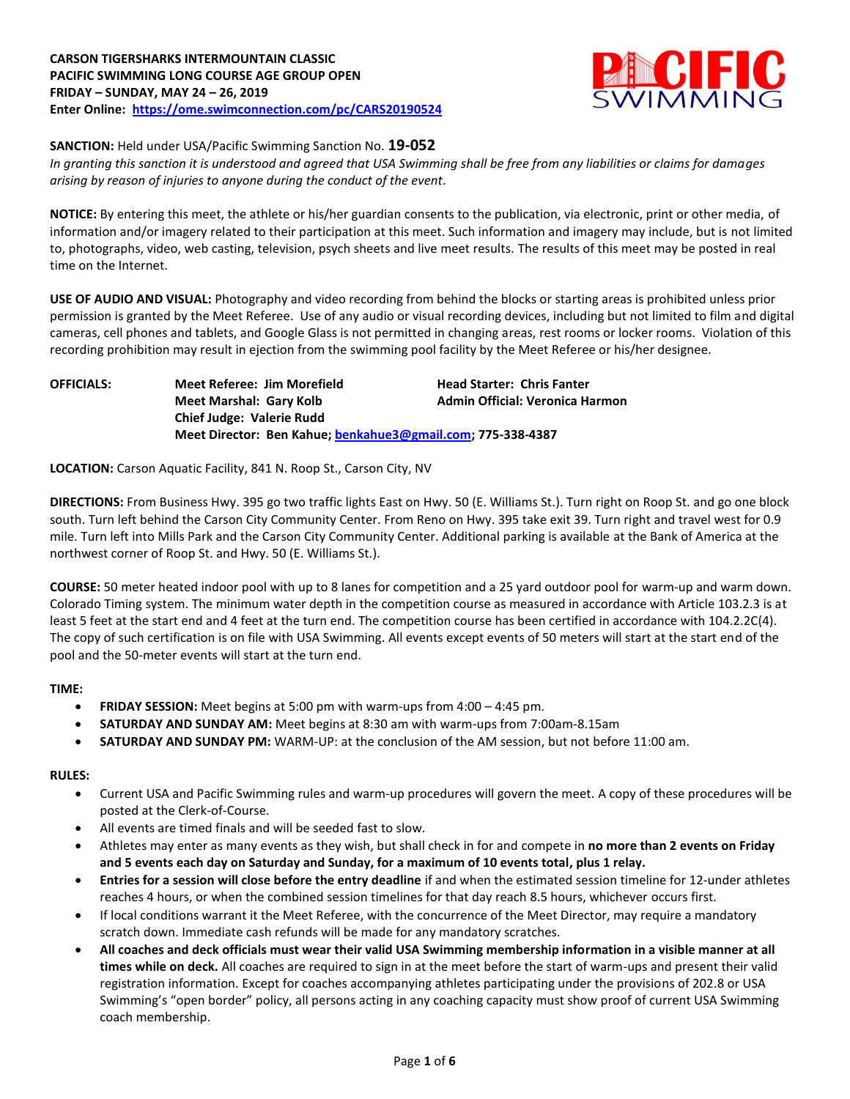

# **SANCTION:** Held under USA/Pacific Swimming Sanction No. **19-052**

*In granting this sanction it is understood and agreed that USA Swimming shall be free from any liabilities or claims for damages arising by reason of injuries to anyone during the conduct of the event.*

**NOTICE:** By entering this meet, the athlete or his/her guardian consents to the publication, via electronic, print or other media, of information and/or imagery related to their participation at this meet. Such information and imagery may include, but is not limited to, photographs, video, web casting, television, psych sheets and live meet results. The results of this meet may be posted in real time on the Internet.

**USE OF AUDIO AND VISUAL:** Photography and video recording from behind the blocks or starting areas is prohibited unless prior permission is granted by the Meet Referee. Use of any audio or visual recording devices, including but not limited to film and digital cameras, cell phones and tablets, and Google Glass is not permitted in changing areas, rest rooms or locker rooms. Violation of this recording prohibition may result in ejection from the swimming pool facility by the Meet Referee or his/her designee.

**OFFICIALS: Meet Referee: Jim Morefield Head Starter: Chris Fanter Meet Marshal: Gary Kolb Admin Official: Veronica Harmon Chief Judge: Valerie Rudd Meet Director: Ben Kahue[; benkahue3@gmail.com;](mailto:benkahue3@gmail.com) 775-338-4387**

**LOCATION:** Carson Aquatic Facility, 841 N. Roop St., Carson City, NV

**DIRECTIONS:** From Business Hwy. 395 go two traffic lights East on Hwy. 50 (E. Williams St.). Turn right on Roop St. and go one block south. Turn left behind the Carson City Community Center. From Reno on Hwy. 395 take exit 39. Turn right and travel west for 0.9 mile. Turn left into Mills Park and the Carson City Community Center. Additional parking is available at the Bank of America at the northwest corner of Roop St. and Hwy. 50 (E. Williams St.).

**COURSE:** 50 meter heated indoor pool with up to 8 lanes for competition and a 25 yard outdoor pool for warm-up and warm down. Colorado Timing system. The minimum water depth in the competition course as measured in accordance with Article 103.2.3 is at least 5 feet at the start end and 4 feet at the turn end. The competition course has been certified in accordance with 104.2.2C(4). The copy of such certification is on file with USA Swimming. All events except events of 50 meters will start at the start end of the pool and the 50-meter events will start at the turn end.

# **TIME:**

- **FRIDAY SESSION:** Meet begins at 5:00 pm with warm-ups from 4:00 4:45 pm.
- **SATURDAY AND SUNDAY AM:** Meet begins at 8:30 am with warm-ups from 7:00am-8.15am
- **SATURDAY AND SUNDAY PM:** WARM-UP: at the conclusion of the AM session, but not before 11:00 am.

#### **RULES:**

- Current USA and Pacific Swimming rules and warm-up procedures will govern the meet. A copy of these procedures will be posted at the Clerk-of-Course.
- All events are timed finals and will be seeded fast to slow.
- Athletes may enter as many events as they wish, but shall check in for and compete in **no more than 2 events on Friday and 5 events each day on Saturday and Sunday, for a maximum of 10 events total, plus 1 relay.**
- **Entries for a session will close before the entry deadline** if and when the estimated session timeline for 12-under athletes reaches 4 hours, or when the combined session timelines for that day reach 8.5 hours, whichever occurs first.
- If local conditions warrant it the Meet Referee, with the concurrence of the Meet Director, may require a mandatory scratch down. Immediate cash refunds will be made for any mandatory scratches.
- **All coaches and deck officials must wear their valid USA Swimming membership information in a visible manner at all times while on deck.** All coaches are required to sign in at the meet before the start of warm-ups and present their valid registration information. Except for coaches accompanying athletes participating under the provisions of 202.8 or USA Swimming's "open border" policy, all persons acting in any coaching capacity must show proof of current USA Swimming coach membership.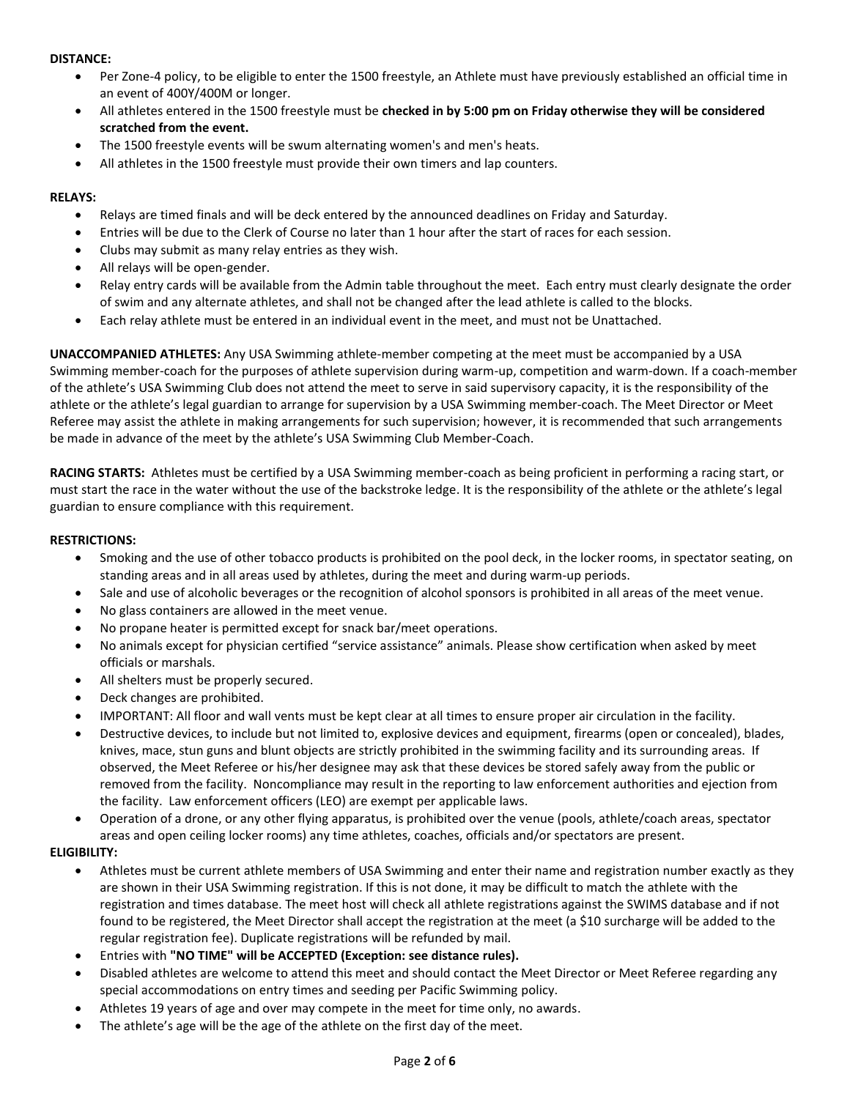# **DISTANCE:**

- Per Zone-4 policy, to be eligible to enter the 1500 freestyle, an Athlete must have previously established an official time in an event of 400Y/400M or longer.
- All athletes entered in the 1500 freestyle must be **checked in by 5:00 pm on Friday otherwise they will be considered scratched from the event.**
- The 1500 freestyle events will be swum alternating women's and men's heats.
- All athletes in the 1500 freestyle must provide their own timers and lap counters.

# **RELAYS:**

- Relays are timed finals and will be deck entered by the announced deadlines on Friday and Saturday.
- Entries will be due to the Clerk of Course no later than 1 hour after the start of races for each session.
- Clubs may submit as many relay entries as they wish.
- All relays will be open-gender.
- Relay entry cards will be available from the Admin table throughout the meet. Each entry must clearly designate the order of swim and any alternate athletes, and shall not be changed after the lead athlete is called to the blocks.
- Each relay athlete must be entered in an individual event in the meet, and must not be Unattached.

**UNACCOMPANIED ATHLETES:** Any USA Swimming athlete-member competing at the meet must be accompanied by a USA Swimming member-coach for the purposes of athlete supervision during warm-up, competition and warm-down. If a coach-member of the athlete's USA Swimming Club does not attend the meet to serve in said supervisory capacity, it is the responsibility of the athlete or the athlete's legal guardian to arrange for supervision by a USA Swimming member-coach. The Meet Director or Meet Referee may assist the athlete in making arrangements for such supervision; however, it is recommended that such arrangements be made in advance of the meet by the athlete's USA Swimming Club Member-Coach.

**RACING STARTS:** Athletes must be certified by a USA Swimming member-coach as being proficient in performing a racing start, or must start the race in the water without the use of the backstroke ledge. It is the responsibility of the athlete or the athlete's legal guardian to ensure compliance with this requirement.

# **RESTRICTIONS:**

- Smoking and the use of other tobacco products is prohibited on the pool deck, in the locker rooms, in spectator seating, on standing areas and in all areas used by athletes, during the meet and during warm-up periods.
- Sale and use of alcoholic beverages or the recognition of alcohol sponsors is prohibited in all areas of the meet venue.
- No glass containers are allowed in the meet venue.
- No propane heater is permitted except for snack bar/meet operations.
- No animals except for physician certified "service assistance" animals. Please show certification when asked by meet officials or marshals.
- All shelters must be properly secured.
- Deck changes are prohibited.
- IMPORTANT: All floor and wall vents must be kept clear at all times to ensure proper air circulation in the facility.
- Destructive devices, to include but not limited to, explosive devices and equipment, firearms (open or concealed), blades, knives, mace, stun guns and blunt objects are strictly prohibited in the swimming facility and its surrounding areas. If observed, the Meet Referee or his/her designee may ask that these devices be stored safely away from the public or removed from the facility. Noncompliance may result in the reporting to law enforcement authorities and ejection from the facility. Law enforcement officers (LEO) are exempt per applicable laws.
- Operation of a drone, or any other flying apparatus, is prohibited over the venue (pools, athlete/coach areas, spectator areas and open ceiling locker rooms) any time athletes, coaches, officials and/or spectators are present.

# **ELIGIBILITY:**

- Athletes must be current athlete members of USA Swimming and enter their name and registration number exactly as they are shown in their USA Swimming registration. If this is not done, it may be difficult to match the athlete with the registration and times database. The meet host will check all athlete registrations against the SWIMS database and if not found to be registered, the Meet Director shall accept the registration at the meet (a \$10 surcharge will be added to the regular registration fee). Duplicate registrations will be refunded by mail.
- Entries with **"NO TIME" will be ACCEPTED (Exception: see distance rules).**
- Disabled athletes are welcome to attend this meet and should contact the Meet Director or Meet Referee regarding any special accommodations on entry times and seeding per Pacific Swimming policy.
- Athletes 19 years of age and over may compete in the meet for time only, no awards.
- The athlete's age will be the age of the athlete on the first day of the meet.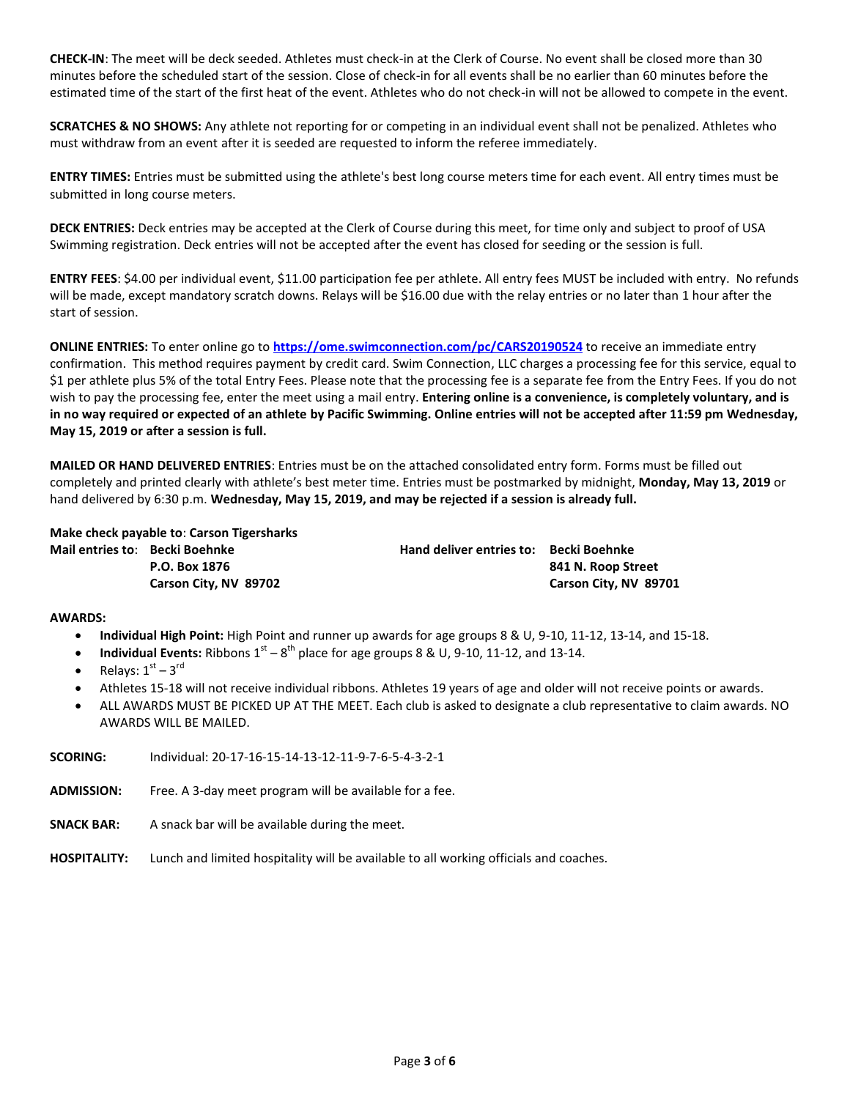**CHECK-IN**: The meet will be deck seeded. Athletes must check-in at the Clerk of Course. No event shall be closed more than 30 minutes before the scheduled start of the session. Close of check-in for all events shall be no earlier than 60 minutes before the estimated time of the start of the first heat of the event. Athletes who do not check-in will not be allowed to compete in the event.

**SCRATCHES & NO SHOWS:** Any athlete not reporting for or competing in an individual event shall not be penalized. Athletes who must withdraw from an event after it is seeded are requested to inform the referee immediately.

**ENTRY TIMES:** Entries must be submitted using the athlete's best long course meters time for each event. All entry times must be submitted in long course meters.

**DECK ENTRIES:** Deck entries may be accepted at the Clerk of Course during this meet, for time only and subject to proof of USA Swimming registration. Deck entries will not be accepted after the event has closed for seeding or the session is full.

**ENTRY FEES**: \$4.00 per individual event, \$11.00 participation fee per athlete. All entry fees MUST be included with entry. No refunds will be made, except mandatory scratch downs. Relays will be \$16.00 due with the relay entries or no later than 1 hour after the start of session.

**ONLINE ENTRIES:** To enter online go to **<https://ome.swimconnection.com/pc/CARS20190524>** to receive an immediate entry confirmation. This method requires payment by credit card. Swim Connection, LLC charges a processing fee for this service, equal to \$1 per athlete plus 5% of the total Entry Fees. Please note that the processing fee is a separate fee from the Entry Fees. If you do not wish to pay the processing fee, enter the meet using a mail entry. **Entering online is a convenience, is completely voluntary, and is in no way required or expected of an athlete by Pacific Swimming. Online entries will not be accepted after 11:59 pm Wednesday, May 15, 2019 or after a session is full.** 

**MAILED OR HAND DELIVERED ENTRIES**: Entries must be on the attached consolidated entry form. Forms must be filled out completely and printed clearly with athlete's best meter time. Entries must be postmarked by midnight, **Monday, May 13, 2019** or hand delivered by 6:30 p.m. **Wednesday, May 15, 2019, and may be rejected if a session is already full.** 

**Make check payable to**: **Carson Tigersharks**

| Mail entries to: Becki Boehnke | Hand deliver entries to: Becki Boehnke |                       |
|--------------------------------|----------------------------------------|-----------------------|
| P.O. Box 1876                  |                                        | 841 N. Roop Street    |
| Carson City, NV 89702          |                                        | Carson City, NV 89701 |

#### **AWARDS:**

- **Individual High Point:** High Point and runner up awards for age groups 8 & U, 9-10, 11-12, 13-14, and 15-18.
- **Individual Events:** Ribbons  $1<sup>st</sup> 8<sup>th</sup>$  place for age groups 8 & U, 9-10, 11-12, and 13-14.
- Relays:  $1<sup>st</sup> 3<sup>rd</sup>$
- Athletes 15-18 will not receive individual ribbons. Athletes 19 years of age and older will not receive points or awards.
- ALL AWARDS MUST BE PICKED UP AT THE MEET. Each club is asked to designate a club representative to claim awards. NO AWARDS WILL BE MAILED.

| <b>SCORING:</b>     | Individual: 20-17-16-15-14-13-12-11-9-7-6-5-4-3-2-1                                   |
|---------------------|---------------------------------------------------------------------------------------|
| ADMISSION:          | Free. A 3-day meet program will be available for a fee.                               |
| <b>SNACK BAR:</b>   | A snack bar will be available during the meet.                                        |
| <b>HOSPITALITY:</b> | Lunch and limited hospitality will be available to all working officials and coaches. |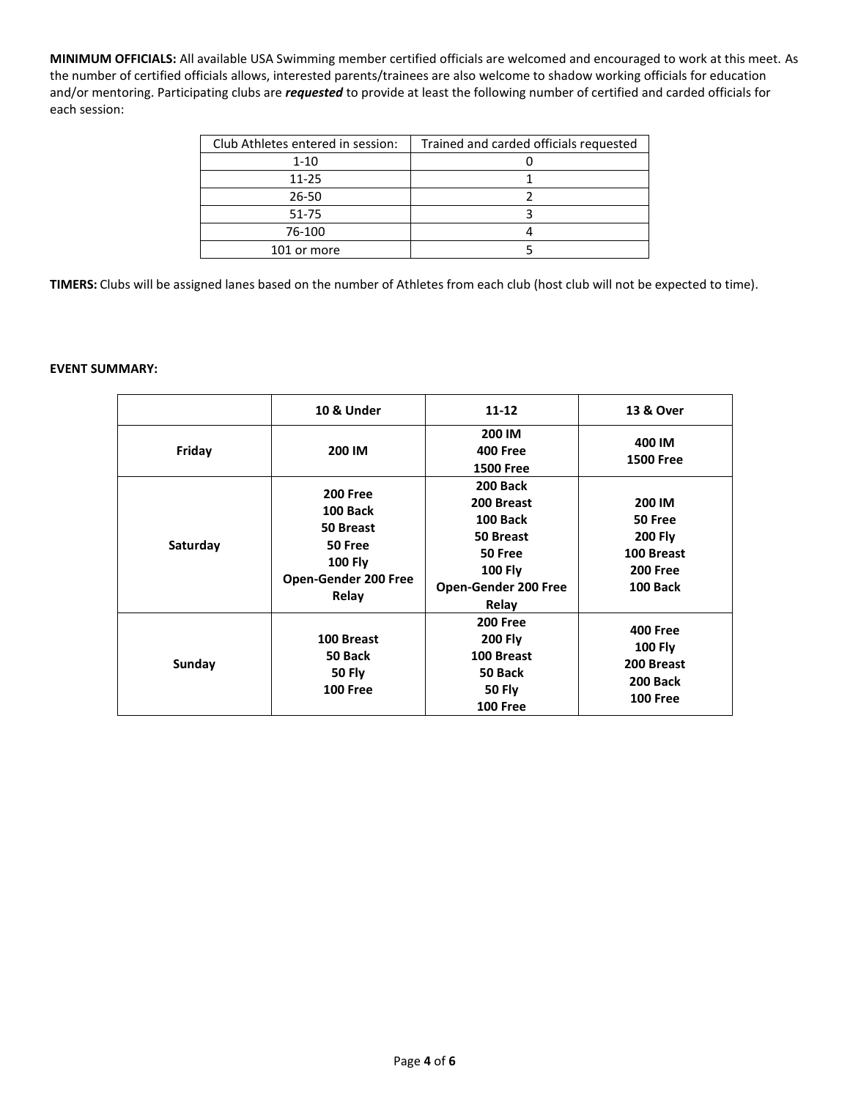**MINIMUM OFFICIALS:** All available USA Swimming member certified officials are welcomed and encouraged to work at this meet. As the number of certified officials allows, interested parents/trainees are also welcome to shadow working officials for education and/or mentoring. Participating clubs are *requested* to provide at least the following number of certified and carded officials for each session:

| Club Athletes entered in session: | Trained and carded officials requested |  |  |  |  |
|-----------------------------------|----------------------------------------|--|--|--|--|
| $1 - 10$                          |                                        |  |  |  |  |
| $11 - 25$                         |                                        |  |  |  |  |
| 26-50                             |                                        |  |  |  |  |
| 51-75                             |                                        |  |  |  |  |
| 76-100                            |                                        |  |  |  |  |
| 101 or more                       |                                        |  |  |  |  |

**TIMERS:** Clubs will be assigned lanes based on the number of Athletes from each club (host club will not be expected to time).

#### **EVENT SUMMARY:**

|          | 10 & Under                                                                     | $11 - 12$                                                                                      | 13 & Over                                                                             |  |  |
|----------|--------------------------------------------------------------------------------|------------------------------------------------------------------------------------------------|---------------------------------------------------------------------------------------|--|--|
| Friday   | 200 IM<br><b>200 Free</b><br>100 Back                                          | 200 IM<br><b>400 Free</b><br><b>1500 Free</b><br>200 Back<br>200 Breast                        | 400 IM<br><b>1500 Free</b><br>200 IM                                                  |  |  |
| Saturday | 50 Breast<br>50 Free<br><b>100 Fly</b><br><b>Open-Gender 200 Free</b><br>Relay | 100 Back<br>50 Breast<br>50 Free<br><b>100 Fly</b><br><b>Open-Gender 200 Free</b><br>Relay     | 50 Free<br><b>200 Fly</b><br>100 Breast<br><b>200 Free</b><br><b>100 Back</b>         |  |  |
| Sunday   | 100 Breast<br>50 Back<br><b>50 Fly</b><br><b>100 Free</b>                      | <b>200 Free</b><br><b>200 Fly</b><br>100 Breast<br>50 Back<br><b>50 Fly</b><br><b>100 Free</b> | <b>400 Free</b><br><b>100 Fly</b><br>200 Breast<br><b>200 Back</b><br><b>100 Free</b> |  |  |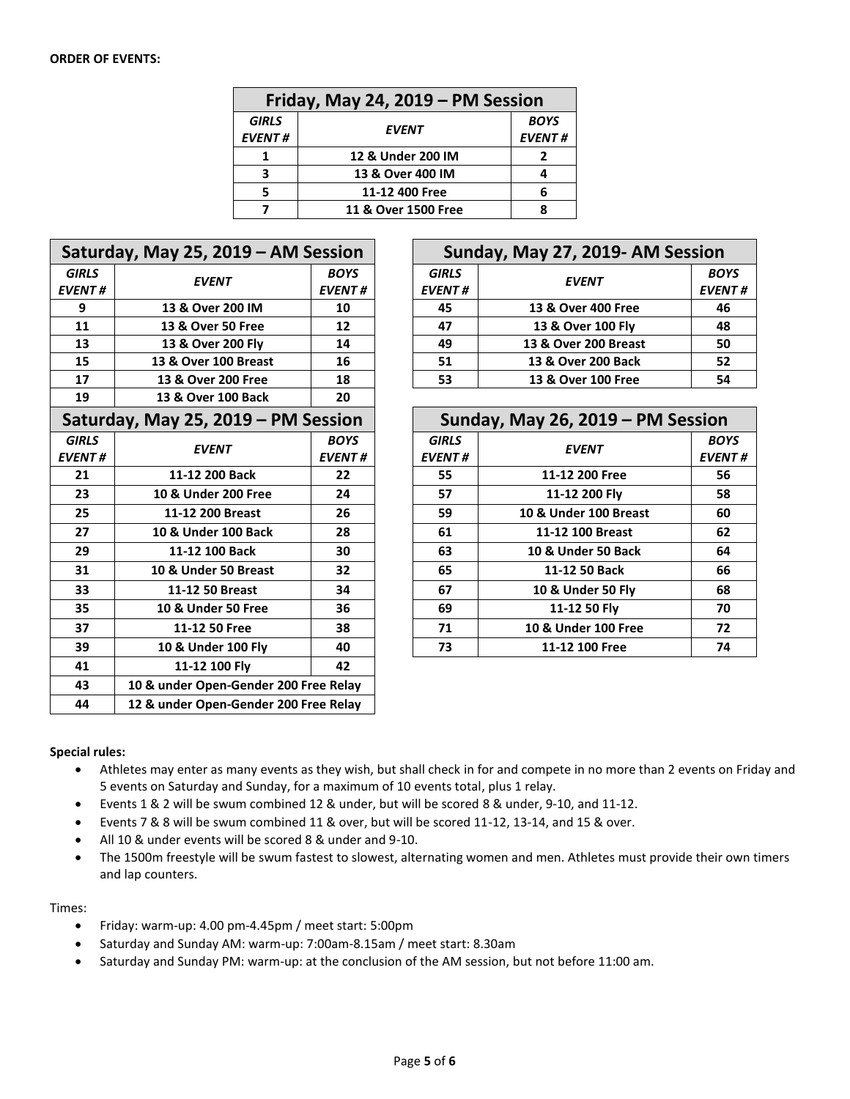| Friday, May 24, 2019 - PM Session |                     |                              |  |  |  |  |  |
|-----------------------------------|---------------------|------------------------------|--|--|--|--|--|
| <b>GIRLS</b><br><b>EVENT#</b>     | <b>EVENT</b>        | <b>BOYS</b><br><b>EVENT#</b> |  |  |  |  |  |
|                                   | 12 & Under 200 IM   |                              |  |  |  |  |  |
| ર                                 | 13 & Over 400 IM    |                              |  |  |  |  |  |
|                                   | 11-12 400 Free      |                              |  |  |  |  |  |
|                                   | 11 & Over 1500 Free |                              |  |  |  |  |  |

| Saturday, May 25, 2019 - AM Session |                                       |                              |  |  |  |  |  |
|-------------------------------------|---------------------------------------|------------------------------|--|--|--|--|--|
| <b>GIRLS</b><br><b>EVENT#</b>       | <b>EVENT</b>                          | <b>BOYS</b><br><b>EVENT#</b> |  |  |  |  |  |
| 9                                   | 13 & Over 200 IM                      | 10                           |  |  |  |  |  |
| 11                                  | 13 & Over 50 Free                     | 12                           |  |  |  |  |  |
| 13                                  | 13 & Over 200 Fly                     | 14                           |  |  |  |  |  |
| 15                                  | 13 & Over 100 Breast                  | 16                           |  |  |  |  |  |
| 17                                  | 13 & Over 200 Free                    | 18                           |  |  |  |  |  |
| 19                                  | 13 & Over 100 Back                    | 20                           |  |  |  |  |  |
| Saturday, May 25, 2019 - PM Session |                                       |                              |  |  |  |  |  |
| <b>GIRLS</b>                        | <b>EVENT</b>                          | <b>BOYS</b>                  |  |  |  |  |  |
| <b>EVENT#</b>                       |                                       | <b>EVENT#</b>                |  |  |  |  |  |
| 21                                  | 11-12 200 Back                        | 22                           |  |  |  |  |  |
| 23                                  | 10 & Under 200 Free                   | 24                           |  |  |  |  |  |
| 25                                  | 11-12 200 Breast                      | 26                           |  |  |  |  |  |
| 27                                  | 10 & Under 100 Back                   | 28                           |  |  |  |  |  |
| 29                                  | 11-12 100 Back                        | 30                           |  |  |  |  |  |
| 31                                  | 10 & Under 50 Breast                  | 32                           |  |  |  |  |  |
| 33                                  | 11-12 50 Breast                       | 34                           |  |  |  |  |  |
| 35                                  | 10 & Under 50 Free                    | 36                           |  |  |  |  |  |
| 37                                  | 11-12 50 Free                         | 38                           |  |  |  |  |  |
| 39                                  | 10 & Under 100 Fly                    | 40                           |  |  |  |  |  |
| 41                                  | 11-12 100 Fly                         | 42                           |  |  |  |  |  |
| 43                                  | 10 & under Open-Gender 200 Free Relay |                              |  |  |  |  |  |
| 44                                  | 12 & under Open-Gender 200 Free Relay |                              |  |  |  |  |  |

| Sunday, May 27, 2019- AM Session |  |  |  |  |  |  |  |
|----------------------------------|--|--|--|--|--|--|--|
| <b>BOYS</b><br><b>EVENT#</b>     |  |  |  |  |  |  |  |
| 46                               |  |  |  |  |  |  |  |
| 48                               |  |  |  |  |  |  |  |
| 50                               |  |  |  |  |  |  |  |
| 52                               |  |  |  |  |  |  |  |
| 54                               |  |  |  |  |  |  |  |
|                                  |  |  |  |  |  |  |  |

| Sunday, May 26, 2019 - PM Session |                       |               |  |  |  |  |  |
|-----------------------------------|-----------------------|---------------|--|--|--|--|--|
| <b>GIRLS</b>                      | <b>EVENT</b>          | <b>BOYS</b>   |  |  |  |  |  |
| <b>EVENT#</b>                     |                       | <b>EVENT#</b> |  |  |  |  |  |
| 55                                | 11-12 200 Free        | 56            |  |  |  |  |  |
| 57                                | 11-12 200 Fly         | 58            |  |  |  |  |  |
| 59                                | 10 & Under 100 Breast | 60            |  |  |  |  |  |
| 61                                | 11-12 100 Breast      | 62            |  |  |  |  |  |
| 63                                | 10 & Under 50 Back    | 64            |  |  |  |  |  |
| 65                                | 11-12 50 Back         | 66            |  |  |  |  |  |
| 67                                | 10 & Under 50 Fly     | 68            |  |  |  |  |  |
| 69                                | 11-12 50 Fly          | 70            |  |  |  |  |  |
| 71                                | 10 & Under 100 Free   | 72            |  |  |  |  |  |
| 73                                | 11-12 100 Free        | 74            |  |  |  |  |  |

# **Special rules:**

- Athletes may enter as many events as they wish, but shall check in for and compete in no more than 2 events on Friday and 5 events on Saturday and Sunday, for a maximum of 10 events total, plus 1 relay.
- Events 1 & 2 will be swum combined 12 & under, but will be scored 8 & under, 9-10, and 11-12.
- Events 7 & 8 will be swum combined 11 & over, but will be scored 11-12, 13-14, and 15 & over.
- All 10 & under events will be scored 8 & under and 9-10.
- The 1500m freestyle will be swum fastest to slowest, alternating women and men. Athletes must provide their own timers and lap counters.

Times:

- Friday: warm-up: 4.00 pm-4.45pm / meet start: 5:00pm
- Saturday and Sunday AM: warm-up: 7:00am-8.15am / meet start: 8.30am
- Saturday and Sunday PM: warm-up: at the conclusion of the AM session, but not before 11:00 am.